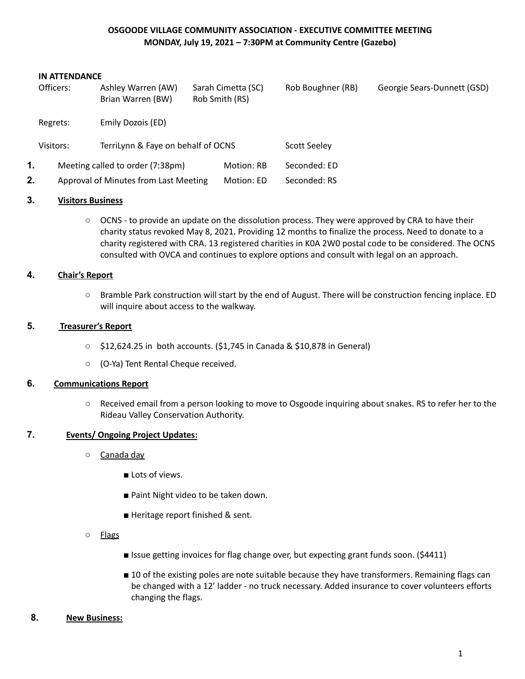# **OSGOODE VILLAGE COMMUNITY ASSOCIATION - EXECUTIVE COMMITTEE MEETING MONDAY, July 19, 2021 – 7:30PM at Community Centre (Gazebo)**

#### **IN ATTENDANCE**

|    | Officers: | Ashley Warren (AW)<br>Brian Warren (BW) |  | Sarah Cimetta (SC)<br>Rob Smith (RS) | Rob Boughner (RB)   | Georgie Sears-Dunnett (GSD) |
|----|-----------|-----------------------------------------|--|--------------------------------------|---------------------|-----------------------------|
|    | Regrets:  | Emily Dozois (ED)                       |  |                                      |                     |                             |
|    | Visitors: | TerriLynn & Faye on behalf of OCNS      |  |                                      | <b>Scott Seeley</b> |                             |
| 1. |           | Meeting called to order (7:38pm)        |  | Motion: RB                           | Seconded: ED        |                             |
| 2. |           | Approval of Minutes from Last Meeting   |  |                                      | Seconded: RS        |                             |

### **3. Visitors Business**

○ OCNS - to provide an update on the dissolution process. They were approved by CRA to have their charity status revoked May 8, 2021. Providing 12 months to finalize the process. Need to donate to a charity registered with CRA. 13 registered charities in K0A 2W0 postal code to be considered. The OCNS consulted with OVCA and continues to explore options and consult with legal on an approach.

### **4. Chair's Report**

○ Bramble Park construction will start by the end of August. There will be construction fencing inplace. ED will inquire about access to the walkway.

### **5. Treasurer's Report**

- \$12,624.25 in both accounts. (\$1,745 in Canada & \$10,878 in General)
- (O-Ya) Tent Rental Cheque received.

### **6. Communications Report**

○ Received email from a person looking to move to Osgoode inquiring about snakes. RS to refer her to the Rideau Valley Conservation Authority.

## **7. Events/ Ongoing Project Updates:**

- Canada day
	- Lots of views.
	- Paint Night video to be taken down.
	- Heritage report finished & sent.
- Flags
- Issue getting invoices for flag change over, but expecting grant funds soon. (\$4411)
- 10 of the existing poles are note suitable because they have transformers. Remaining flags can be changed with a 12' ladder - no truck necessary. Added insurance to cover volunteers efforts changing the flags.
- **8. New Business:**